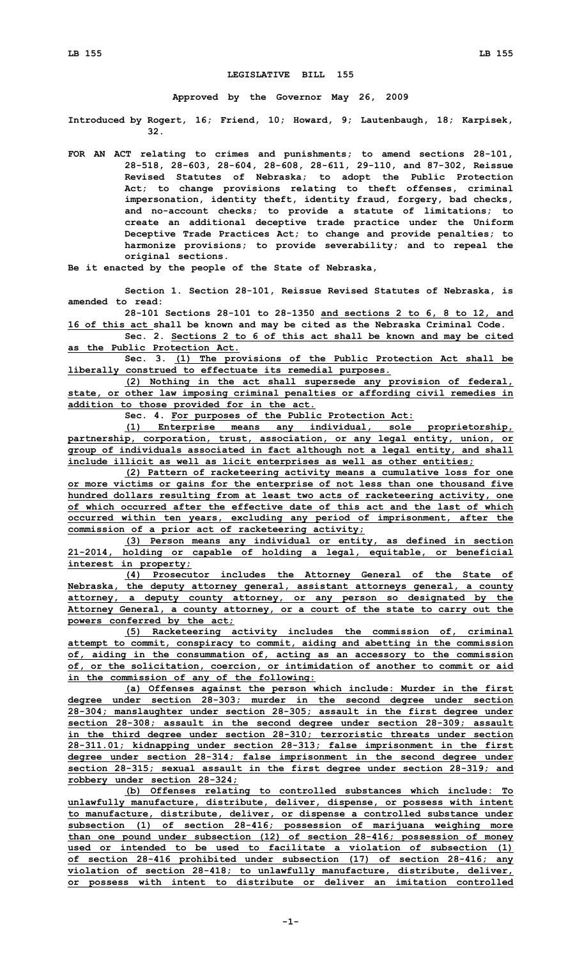## **LEGISLATIVE BILL 155**

**Approved by the Governor May 26, 2009**

**Introduced by Rogert, 16; Friend, 10; Howard, 9; Lautenbaugh, 18; Karpisek, 32.**

**FOR AN ACT relating to crimes and punishments; to amend sections 28-101, 28-518, 28-603, 28-604, 28-608, 28-611, 29-110, and 87-302, Reissue Revised Statutes of Nebraska; to adopt the Public Protection Act; to change provisions relating to theft offenses, criminal impersonation, identity theft, identity fraud, forgery, bad checks, and no-account checks; to provide <sup>a</sup> statute of limitations; to create an additional deceptive trade practice under the Uniform Deceptive Trade Practices Act; to change and provide penalties; to harmonize provisions; to provide severability; and to repeal the original sections.**

**Be it enacted by the people of the State of Nebraska,**

**Section 1. Section 28-101, Reissue Revised Statutes of Nebraska, is amended to read:**

**28-101 Sections 28-101 to 28-1350 and sections 2 to 6, 8 to 12, and 16 of this act shall be known and may be cited as the Nebraska Criminal Code.**

**Sec. 2. Sections 2 to 6 of this act shall be known and may be cited as the Public Protection Act.**

**Sec. 3. (1) The provisions of the Public Protection Act shall be liberally construed to effectuate its remedial purposes.**

**(2) Nothing in the act shall supersede any provision of federal, state, or other law imposing criminal penalties or affording civil remedies in addition to those provided for in the act.**

**Sec. 4. For purposes of the Public Protection Act:**

**(1) Enterprise means any individual, sole proprietorship, partnership, corporation, trust, association, or any legal entity, union, or group of individuals associated in fact although not <sup>a</sup> legal entity, and shall include illicit as well as licit enterprises as well as other entities;**

**(2) Pattern of racketeering activity means <sup>a</sup> cumulative loss for one or more victims or gains for the enterprise of not less than one thousand five hundred dollars resulting from at least two acts of racketeering activity, one of which occurred after the effective date of this act and the last of which occurred within ten years, excluding any period of imprisonment, after the commission of <sup>a</sup> prior act of racketeering activity;**

**(3) Person means any individual or entity, as defined in section 21-2014, holding or capable of holding <sup>a</sup> legal, equitable, or beneficial interest in property;**

**(4) Prosecutor includes the Attorney General of the State of Nebraska, the deputy attorney general, assistant attorneys general, <sup>a</sup> county attorney, <sup>a</sup> deputy county attorney, or any person so designated by the Attorney General, <sup>a</sup> county attorney, or <sup>a</sup> court of the state to carry out the powers conferred by the act;**

**(5) Racketeering activity includes the commission of, criminal attempt to commit, conspiracy to commit, aiding and abetting in the commission of, aiding in the consummation of, acting as an accessory to the commission of, or the solicitation, coercion, or intimidation of another to commit or aid in the commission of any of the following:**

**(a) Offenses against the person which include: Murder in the first degree under section 28-303; murder in the second degree under section 28-304; manslaughter under section 28-305; assault in the first degree under section 28-308; assault in the second degree under section 28-309; assault in the third degree under section 28-310; terroristic threats under section 28-311.01; kidnapping under section 28-313; false imprisonment in the first degree under section 28-314; false imprisonment in the second degree under section 28-315; sexual assault in the first degree under section 28-319; and robbery under section 28-324;**

**(b) Offenses relating to controlled substances which include: To unlawfully manufacture, distribute, deliver, dispense, or possess with intent to manufacture, distribute, deliver, or dispense <sup>a</sup> controlled substance under subsection (1) of section 28-416; possession of marijuana weighing more than one pound under subsection (12) of section 28-416; possession of money used or intended to be used to facilitate <sup>a</sup> violation of subsection (1) of section 28-416 prohibited under subsection (17) of section 28-416; any violation of section 28-418; to unlawfully manufacture, distribute, deliver, or possess with intent to distribute or deliver an imitation controlled**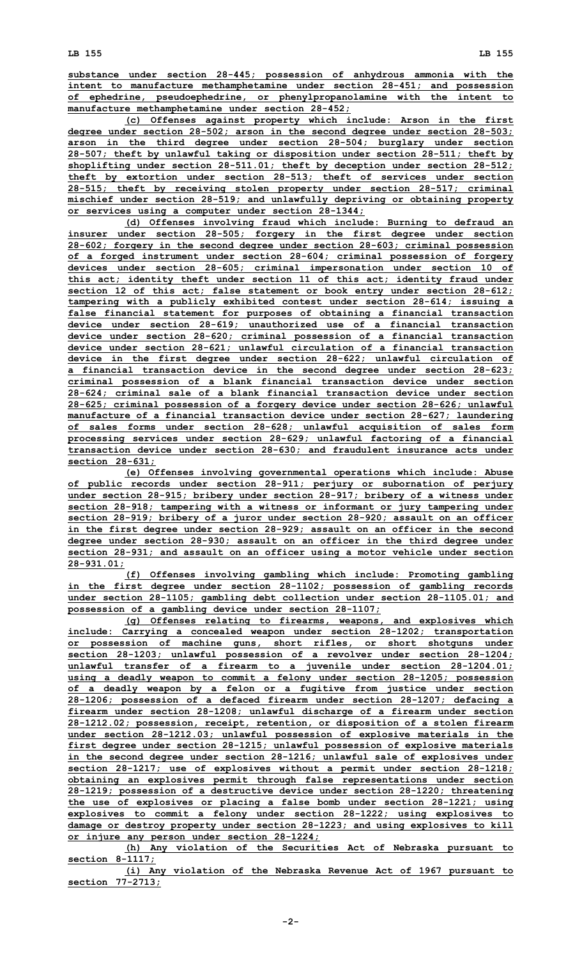**substance under section 28-445; possession of anhydrous ammonia with the intent to manufacture methamphetamine under section 28-451; and possession of ephedrine, pseudoephedrine, or phenylpropanolamine with the intent to manufacture methamphetamine under section 28-452;**

**(c) Offenses against property which include: Arson in the first degree under section 28-502; arson in the second degree under section 28-503; arson in the third degree under section 28-504; burglary under section 28-507; theft by unlawful taking or disposition under section 28-511; theft by shoplifting under section 28-511.01; theft by deception under section 28-512; theft by extortion under section 28-513; theft of services under section 28-515; theft by receiving stolen property under section 28-517; criminal mischief under section 28-519; and unlawfully depriving or obtaining property or services using <sup>a</sup> computer under section 28-1344;**

**(d) Offenses involving fraud which include: Burning to defraud an insurer under section 28-505; forgery in the first degree under section 28-602; forgery in the second degree under section 28-603; criminal possession of <sup>a</sup> forged instrument under section 28-604; criminal possession of forgery devices under section 28-605; criminal impersonation under section 10 of this act; identity theft under section 11 of this act; identity fraud under section 12 of this act; false statement or book entry under section 28-612; tampering with <sup>a</sup> publicly exhibited contest under section 28-614; issuing <sup>a</sup> false financial statement for purposes of obtaining <sup>a</sup> financial transaction device under section 28-619; unauthorized use of <sup>a</sup> financial transaction device under section 28-620; criminal possession of <sup>a</sup> financial transaction device under section 28-621; unlawful circulation of <sup>a</sup> financial transaction device in the first degree under section 28-622; unlawful circulation of <sup>a</sup> financial transaction device in the second degree under section 28-623; criminal possession of <sup>a</sup> blank financial transaction device under section 28-624; criminal sale of <sup>a</sup> blank financial transaction device under section 28-625; criminal possession of <sup>a</sup> forgery device under section 28-626; unlawful manufacture of <sup>a</sup> financial transaction device under section 28-627; laundering of sales forms under section 28-628; unlawful acquisition of sales form processing services under section 28-629; unlawful factoring of <sup>a</sup> financial transaction device under section 28-630; and fraudulent insurance acts under section 28-631;**

**(e) Offenses involving governmental operations which include: Abuse of public records under section 28-911; perjury or subornation of perjury under section 28-915; bribery under section 28-917; bribery of <sup>a</sup> witness under section 28-918; tampering with <sup>a</sup> witness or informant or jury tampering under section 28-919; bribery of <sup>a</sup> juror under section 28-920; assault on an officer in the first degree under section 28-929; assault on an officer in the second degree under section 28-930; assault on an officer in the third degree under section 28-931; and assault on an officer using <sup>a</sup> motor vehicle under section 28-931.01;**

**(f) Offenses involving gambling which include: Promoting gambling in the first degree under section 28-1102; possession of gambling records under section 28-1105; gambling debt collection under section 28-1105.01; and possession of <sup>a</sup> gambling device under section 28-1107;**

**(g) Offenses relating to firearms, weapons, and explosives which include: Carrying <sup>a</sup> concealed weapon under section 28-1202; transportation or possession of machine guns, short rifles, or short shotguns under section 28-1203; unlawful possession of <sup>a</sup> revolver under section 28-1204; unlawful transfer of <sup>a</sup> firearm to <sup>a</sup> juvenile under section 28-1204.01; using <sup>a</sup> deadly weapon to commit <sup>a</sup> felony under section 28-1205; possession of <sup>a</sup> deadly weapon by <sup>a</sup> felon or <sup>a</sup> fugitive from justice under section 28-1206; possession of <sup>a</sup> defaced firearm under section 28-1207; defacing <sup>a</sup> firearm under section 28-1208; unlawful discharge of <sup>a</sup> firearm under section 28-1212.02; possession, receipt, retention, or disposition of <sup>a</sup> stolen firearm under section 28-1212.03; unlawful possession of explosive materials in the first degree under section 28-1215; unlawful possession of explosive materials in the second degree under section 28-1216; unlawful sale of explosives under section 28-1217; use of explosives without <sup>a</sup> permit under section 28-1218; obtaining an explosives permit through false representations under section 28-1219; possession of <sup>a</sup> destructive device under section 28-1220; threatening the use of explosives or placing <sup>a</sup> false bomb under section 28-1221; using explosives to commit <sup>a</sup> felony under section 28-1222; using explosives to damage or destroy property under section 28-1223; and using explosives to kill or injure any person under section 28-1224;**

**(h) Any violation of the Securities Act of Nebraska pursuant to section 8-1117;**

**(i) Any violation of the Nebraska Revenue Act of 1967 pursuant to section 77-2713;**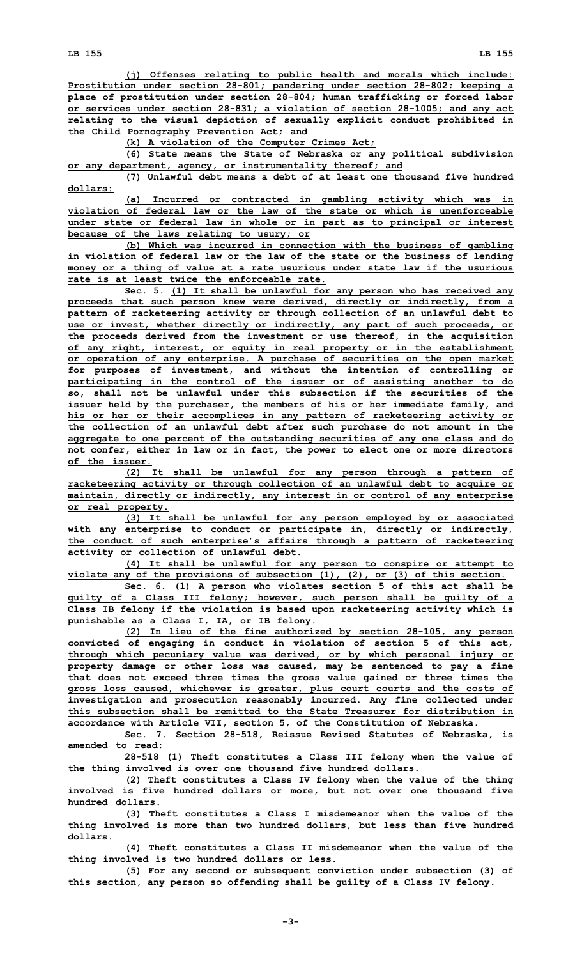**(j) Offenses relating to public health and morals which include: Prostitution under section 28-801; pandering under section 28-802; keeping <sup>a</sup> place of prostitution under section 28-804; human trafficking or forced labor or services under section 28-831; <sup>a</sup> violation of section 28-1005; and any act relating to the visual depiction of sexually explicit conduct prohibited in the Child Pornography Prevention Act; and**

**(k) <sup>A</sup> violation of the Computer Crimes Act;**

**(6) State means the State of Nebraska or any political subdivision or any department, agency, or instrumentality thereof; and**

**(7) Unlawful debt means <sup>a</sup> debt of at least one thousand five hundred dollars:**

**(a) Incurred or contracted in gambling activity which was in violation of federal law or the law of the state or which is unenforceable under state or federal law in whole or in part as to principal or interest because of the laws relating to usury; or**

**(b) Which was incurred in connection with the business of gambling in violation of federal law or the law of the state or the business of lending money or <sup>a</sup> thing of value at <sup>a</sup> rate usurious under state law if the usurious rate is at least twice the enforceable rate.**

**Sec. 5. (1) It shall be unlawful for any person who has received any proceeds that such person knew were derived, directly or indirectly, from <sup>a</sup> pattern of racketeering activity or through collection of an unlawful debt to use or invest, whether directly or indirectly, any part of such proceeds, or the proceeds derived from the investment or use thereof, in the acquisition of any right, interest, or equity in real property or in the establishment or operation of any enterprise. A purchase of securities on the open market for purposes of investment, and without the intention of controlling or participating in the control of the issuer or of assisting another to do so, shall not be unlawful under this subsection if the securities of the issuer held by the purchaser, the members of his or her immediate family, and his or her or their accomplices in any pattern of racketeering activity or the collection of an unlawful debt after such purchase do not amount in the aggregate to one percent of the outstanding securities of any one class and do not confer, either in law or in fact, the power to elect one or more directors of the issuer.**

**(2) It shall be unlawful for any person through <sup>a</sup> pattern of racketeering activity or through collection of an unlawful debt to acquire or maintain, directly or indirectly, any interest in or control of any enterprise or real property.**

**(3) It shall be unlawful for any person employed by or associated with any enterprise to conduct or participate in, directly or indirectly, the conduct of such enterprise's affairs through <sup>a</sup> pattern of racketeering activity or collection of unlawful debt.**

**(4) It shall be unlawful for any person to conspire or attempt to violate any of the provisions of subsection (1), (2), or (3) of this section.**

**Sec. 6. (1) <sup>A</sup> person who violates section 5 of this act shall be guilty of <sup>a</sup> Class III felony; however, such person shall be guilty of <sup>a</sup> Class IB felony if the violation is based upon racketeering activity which is punishable as <sup>a</sup> Class I, IA, or IB felony.**

**(2) In lieu of the fine authorized by section 28-105, any person convicted of engaging in conduct in violation of section 5 of this act, through which pecuniary value was derived, or by which personal injury or property damage or other loss was caused, may be sentenced to pay <sup>a</sup> fine that does not exceed three times the gross value gained or three times the gross loss caused, whichever is greater, plus court courts and the costs of investigation and prosecution reasonably incurred. Any fine collected under this subsection shall be remitted to the State Treasurer for distribution in accordance with Article VII, section 5, of the Constitution of Nebraska.**

**Sec. 7. Section 28-518, Reissue Revised Statutes of Nebraska, is amended to read:**

**28-518 (1) Theft constitutes <sup>a</sup> Class III felony when the value of the thing involved is over one thousand five hundred dollars.**

**(2) Theft constitutes <sup>a</sup> Class IV felony when the value of the thing involved is five hundred dollars or more, but not over one thousand five hundred dollars.**

**(3) Theft constitutes <sup>a</sup> Class I misdemeanor when the value of the thing involved is more than two hundred dollars, but less than five hundred dollars.**

**(4) Theft constitutes <sup>a</sup> Class II misdemeanor when the value of the thing involved is two hundred dollars or less.**

**(5) For any second or subsequent conviction under subsection (3) of this section, any person so offending shall be guilty of <sup>a</sup> Class IV felony.**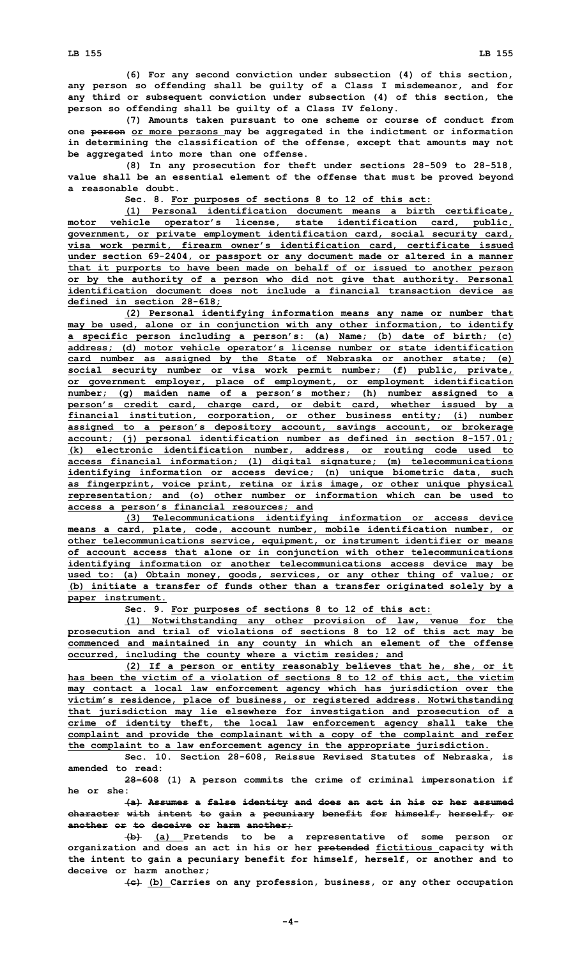**(7) Amounts taken pursuant to one scheme or course of conduct from one person or more persons may be aggregated in the indictment or information in determining the classification of the offense, except that amounts may not be aggregated into more than one offense.**

**(8) In any prosecution for theft under sections 28-509 to 28-518, value shall be an essential element of the offense that must be proved beyond a reasonable doubt.**

**Sec. 8. For purposes of sections 8 to 12 of this act:**

**(1) Personal identification document means <sup>a</sup> birth certificate, motor vehicle operator's license, state identification card, public, government, or private employment identification card, social security card, visa work permit, firearm owner's identification card, certificate issued under section 69-2404, or passport or any document made or altered in <sup>a</sup> manner that it purports to have been made on behalf of or issued to another person or by the authority of <sup>a</sup> person who did not give that authority. Personal identification document does not include a financial transaction device as defined in section 28-618;**

**(2) Personal identifying information means any name or number that may be used, alone or in conjunction with any other information, to identify <sup>a</sup> specific person including <sup>a</sup> person's: (a) Name; (b) date of birth; (c) address; (d) motor vehicle operator's license number or state identification card number as assigned by the State of Nebraska or another state; (e) social security number or visa work permit number; (f) public, private, or government employer, place of employment, or employment identification number; (g) maiden name of <sup>a</sup> person's mother; (h) number assigned to <sup>a</sup> person's credit card, charge card, or debit card, whether issued by <sup>a</sup> financial institution, corporation, or other business entity; (i) number assigned to <sup>a</sup> person's depository account, savings account, or brokerage account; (j) personal identification number as defined in section 8-157.01; (k) electronic identification number, address, or routing code used to access financial information; (l) digital signature; (m) telecommunications identifying information or access device; (n) unique biometric data, such as fingerprint, voice print, retina or iris image, or other unique physical representation; and (o) other number or information which can be used to access <sup>a</sup> person's financial resources; and**

**(3) Telecommunications identifying information or access device means <sup>a</sup> card, plate, code, account number, mobile identification number, or other telecommunications service, equipment, or instrument identifier or means of account access that alone or in conjunction with other telecommunications identifying information or another telecommunications access device may be used to: (a) Obtain money, goods, services, or any other thing of value; or (b) initiate <sup>a</sup> transfer of funds other than <sup>a</sup> transfer originated solely by <sup>a</sup> paper instrument.**

**Sec. 9. For purposes of sections 8 to 12 of this act:**

**(1) Notwithstanding any other provision of law, venue for the prosecution and trial of violations of sections 8 to 12 of this act may be commenced and maintained in any county in which an element of the offense occurred, including the county where <sup>a</sup> victim resides; and**

**(2) If <sup>a</sup> person or entity reasonably believes that he, she, or it has been the victim of <sup>a</sup> violation of sections 8 to 12 of this act, the victim may contact <sup>a</sup> local law enforcement agency which has jurisdiction over the victim's residence, place of business, or registered address. Notwithstanding that jurisdiction may lie elsewhere for investigation and prosecution of <sup>a</sup> crime of identity theft, the local law enforcement agency shall take the complaint and provide the complainant with <sup>a</sup> copy of the complaint and refer the complaint to <sup>a</sup> law enforcement agency in the appropriate jurisdiction.**

**Sec. 10. Section 28-608, Reissue Revised Statutes of Nebraska, is amended to read:**

**28-608 (1) <sup>A</sup> person commits the crime of criminal impersonation if he or she:**

**(a) Assumes <sup>a</sup> false identity and does an act in his or her assumed character with intent to gain <sup>a</sup> pecuniary benefit for himself, herself, or another or to deceive or harm another;**

**(b) (a) Pretends to be <sup>a</sup> representative of some person or organization and does an act in his or her pretended fictitious capacity with the intent to gain <sup>a</sup> pecuniary benefit for himself, herself, or another and to deceive or harm another;**

**(c) (b) Carries on any profession, business, or any other occupation**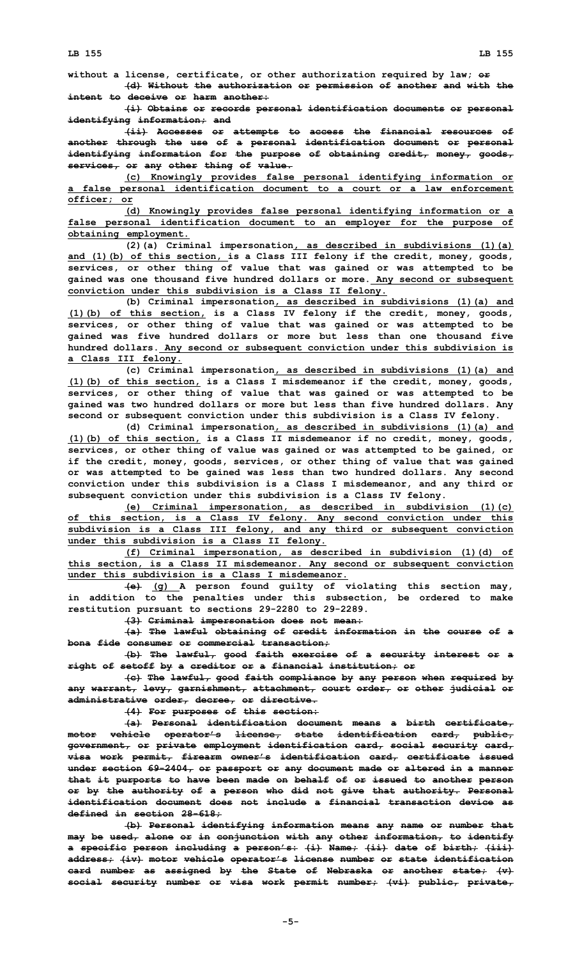**without <sup>a</sup> license, certificate, or other authorization required by law; or (d) Without the authorization or permission of another and with the intent to deceive or harm another:**

**(i) Obtains or records personal identification documents or personal identifying information; and**

**(ii) Accesses or attempts to access the financial resources of another through the use of <sup>a</sup> personal identification document or personal identifying information for the purpose of obtaining credit, money, goods, services, or any other thing of value.**

**(c) Knowingly provides false personal identifying information or <sup>a</sup> false personal identification document to <sup>a</sup> court or <sup>a</sup> law enforcement officer; or**

**(d) Knowingly provides false personal identifying information or <sup>a</sup> false personal identification document to an employer for the purpose of obtaining employment.**

**(2)(a) Criminal impersonation, as described in subdivisions (1)(a) and (1)(b) of this section, is <sup>a</sup> Class III felony if the credit, money, goods, services, or other thing of value that was gained or was attempted to be gained was one thousand five hundred dollars or more. Any second or subsequent conviction under this subdivision is <sup>a</sup> Class II felony.**

**(b) Criminal impersonation, as described in subdivisions (1)(a) and (1)(b) of this section, is <sup>a</sup> Class IV felony if the credit, money, goods, services, or other thing of value that was gained or was attempted to be gained was five hundred dollars or more but less than one thousand five hundred dollars. Any second or subsequent conviction under this subdivision is <sup>a</sup> Class III felony.**

**(c) Criminal impersonation, as described in subdivisions (1)(a) and (1)(b) of this section, is <sup>a</sup> Class <sup>I</sup> misdemeanor if the credit, money, goods, services, or other thing of value that was gained or was attempted to be gained was two hundred dollars or more but less than five hundred dollars. Any second or subsequent conviction under this subdivision is <sup>a</sup> Class IV felony.**

**(d) Criminal impersonation, as described in subdivisions (1)(a) and (1)(b) of this section, is <sup>a</sup> Class II misdemeanor if no credit, money, goods, services, or other thing of value was gained or was attempted to be gained, or if the credit, money, goods, services, or other thing of value that was gained or was attempted to be gained was less than two hundred dollars. Any second conviction under this subdivision is <sup>a</sup> Class I misdemeanor, and any third or subsequent conviction under this subdivision is <sup>a</sup> Class IV felony.**

**(e) Criminal impersonation, as described in subdivision (1)(c) of this section, is <sup>a</sup> Class IV felony. Any second conviction under this subdivision is <sup>a</sup> Class III felony, and any third or subsequent conviction under this subdivision is <sup>a</sup> Class II felony.**

**(f) Criminal impersonation, as described in subdivision (1)(d) of this section, is <sup>a</sup> Class II misdemeanor. Any second or subsequent conviction under this subdivision is a Class I misdemeanor.**

**(e) (g) <sup>A</sup> person found guilty of violating this section may, in addition to the penalties under this subsection, be ordered to make restitution pursuant to sections 29-2280 to 29-2289.**

**(3) Criminal impersonation does not mean:**

**(a) The lawful obtaining of credit information in the course of <sup>a</sup> bona fide consumer or commercial transaction;**

**(b) The lawful, good faith exercise of <sup>a</sup> security interest or <sup>a</sup> right of setoff by <sup>a</sup> creditor or <sup>a</sup> financial institution; or**

**(c) The lawful, good faith compliance by any person when required by any warrant, levy, garnishment, attachment, court order, or other judicial or administrative order, decree, or directive.**

**(4) For purposes of this section:**

**(a) Personal identification document means <sup>a</sup> birth certificate, motor vehicle operator's license, state identification card, public, government, or private employment identification card, social security card, visa work permit, firearm owner's identification card, certificate issued under section 69-2404, or passport or any document made or altered in <sup>a</sup> manner that it purports to have been made on behalf of or issued to another person or by the authority of <sup>a</sup> person who did not give that authority. Personal identification document does not include a financial transaction device as defined in section 28-618;**

**(b) Personal identifying information means any name or number that may be used, alone or in conjunction with any other information, to identify <sup>a</sup> specific person including <sup>a</sup> person's: (i) Name; (ii) date of birth; (iii) address; (iv) motor vehicle operator's license number or state identification card number as assigned by the State of Nebraska or another state; (v) social security number or visa work permit number; (vi) public, private,**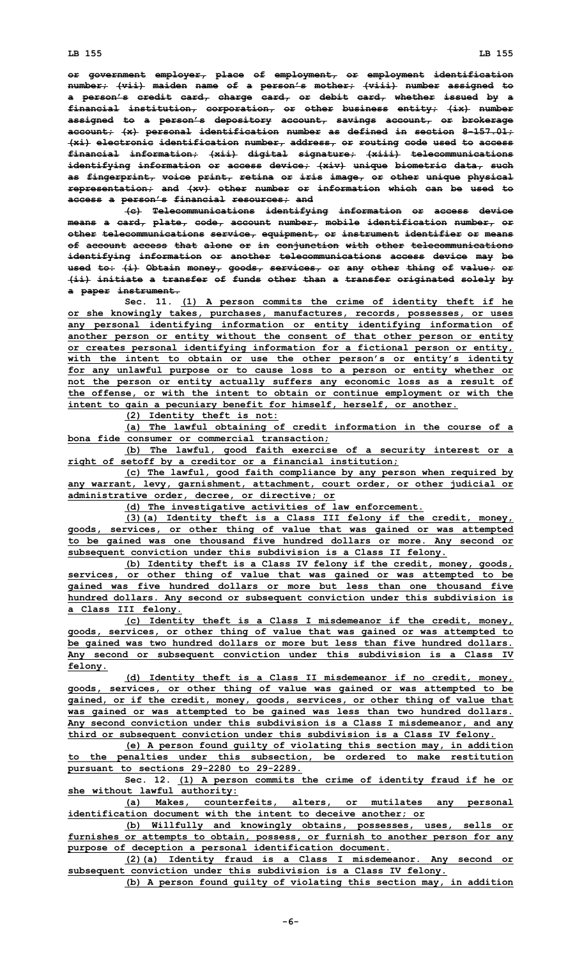**or government employer, place of employment, or employment identification number; (vii) maiden name of <sup>a</sup> person's mother; (viii) number assigned to <sup>a</sup> person's credit card, charge card, or debit card, whether issued by <sup>a</sup> financial institution, corporation, or other business entity; (ix) number assigned to <sup>a</sup> person's depository account, savings account, or brokerage account; (x) personal identification number as defined in section 8-157.01; (xi) electronic identification number, address, or routing code used to access financial information; (xii) digital signature; (xiii) telecommunications identifying information or access device; (xiv) unique biometric data, such as fingerprint, voice print, retina or iris image, or other unique physical representation; and (xv) other number or information which can be used to access <sup>a</sup> person's financial resources; and**

**(c) Telecommunications identifying information or access device means <sup>a</sup> card, plate, code, account number, mobile identification number, or other telecommunications service, equipment, or instrument identifier or means of account access that alone or in conjunction with other telecommunications identifying information or another telecommunications access device may be used to: (i) Obtain money, goods, services, or any other thing of value; or (ii) initiate <sup>a</sup> transfer of funds other than <sup>a</sup> transfer originated solely by <sup>a</sup> paper instrument.**

**Sec. 11. (1) <sup>A</sup> person commits the crime of identity theft if he or she knowingly takes, purchases, manufactures, records, possesses, or uses any personal identifying information or entity identifying information of another person or entity without the consent of that other person or entity or creates personal identifying information for <sup>a</sup> fictional person or entity, with the intent to obtain or use the other person's or entity's identity for any unlawful purpose or to cause loss to <sup>a</sup> person or entity whether or not the person or entity actually suffers any economic loss as <sup>a</sup> result of the offense, or with the intent to obtain or continue employment or with the intent to gain <sup>a</sup> pecuniary benefit for himself, herself, or another.**

**(2) Identity theft is not:**

**(a) The lawful obtaining of credit information in the course of <sup>a</sup> bona fide consumer or commercial transaction;**

**(b) The lawful, good faith exercise of <sup>a</sup> security interest or <sup>a</sup> right of setoff by <sup>a</sup> creditor or <sup>a</sup> financial institution;**

**(c) The lawful, good faith compliance by any person when required by any warrant, levy, garnishment, attachment, court order, or other judicial or administrative order, decree, or directive; or**

**(d) The investigative activities of law enforcement.**

**(3)(a) Identity theft is <sup>a</sup> Class III felony if the credit, money, goods, services, or other thing of value that was gained or was attempted to be gained was one thousand five hundred dollars or more. Any second or subsequent conviction under this subdivision is <sup>a</sup> Class II felony.**

**(b) Identity theft is <sup>a</sup> Class IV felony if the credit, money, goods, services, or other thing of value that was gained or was attempted to be gained was five hundred dollars or more but less than one thousand five hundred dollars. Any second or subsequent conviction under this subdivision is <sup>a</sup> Class III felony.**

**(c) Identity theft is <sup>a</sup> Class <sup>I</sup> misdemeanor if the credit, money, goods, services, or other thing of value that was gained or was attempted to be gained was two hundred dollars or more but less than five hundred dollars. Any second or subsequent conviction under this subdivision is <sup>a</sup> Class IV felony.**

**(d) Identity theft is <sup>a</sup> Class II misdemeanor if no credit, money, goods, services, or other thing of value was gained or was attempted to be gained, or if the credit, money, goods, services, or other thing of value that was gained or was attempted to be gained was less than two hundred dollars. Any second conviction under this subdivision is <sup>a</sup> Class I misdemeanor, and any third or subsequent conviction under this subdivision is <sup>a</sup> Class IV felony.**

**(e) <sup>A</sup> person found guilty of violating this section may, in addition to the penalties under this subsection, be ordered to make restitution pursuant to sections 29-2280 to 29-2289.**

**Sec. 12. (1) <sup>A</sup> person commits the crime of identity fraud if he or she without lawful authority:**

**(a) Makes, counterfeits, alters, or mutilates any personal identification document with the intent to deceive another; or**

**(b) Willfully and knowingly obtains, possesses, uses, sells or furnishes or attempts to obtain, possess, or furnish to another person for any purpose of deception <sup>a</sup> personal identification document.**

**(2)(a) Identity fraud is <sup>a</sup> Class <sup>I</sup> misdemeanor. Any second or subsequent conviction under this subdivision is <sup>a</sup> Class IV felony.**

**(b) <sup>A</sup> person found guilty of violating this section may, in addition**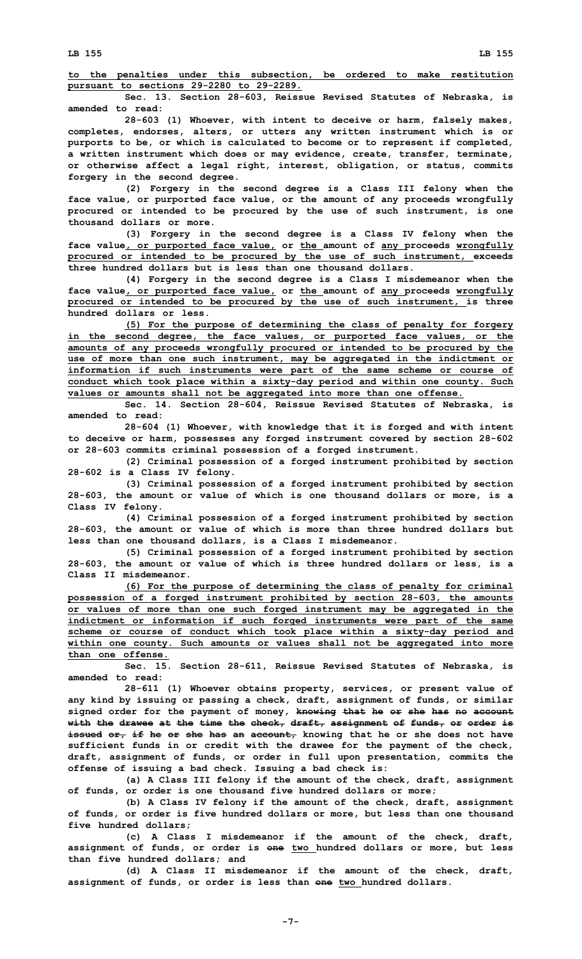**to the penalties under this subsection, be ordered to make restitution pursuant to sections 29-2280 to 29-2289.**

**Sec. 13. Section 28-603, Reissue Revised Statutes of Nebraska, is amended to read:**

**28-603 (1) Whoever, with intent to deceive or harm, falsely makes, completes, endorses, alters, or utters any written instrument which is or purports to be, or which is calculated to become or to represent if completed, <sup>a</sup> written instrument which does or may evidence, create, transfer, terminate, or otherwise affect <sup>a</sup> legal right, interest, obligation, or status, commits forgery in the second degree.**

**(2) Forgery in the second degree is <sup>a</sup> Class III felony when the face value, or purported face value, or the amount of any proceeds wrongfully procured or intended to be procured by the use of such instrument, is one thousand dollars or more.**

**(3) Forgery in the second degree is <sup>a</sup> Class IV felony when the face value, or purported face value, or the amount of any proceeds wrongfully procured or intended to be procured by the use of such instrument, exceeds three hundred dollars but is less than one thousand dollars.**

**(4) Forgery in the second degree is <sup>a</sup> Class <sup>I</sup> misdemeanor when the face value, or purported face value, or the amount of any proceeds wrongfully procured or intended to be procured by the use of such instrument, is three hundred dollars or less.**

**(5) For the purpose of determining the class of penalty for forgery in the second degree, the face values, or purported face values, or the amounts of any proceeds wrongfully procured or intended to be procured by the use of more than one such instrument, may be aggregated in the indictment or information if such instruments were part of the same scheme or course of conduct which took place within <sup>a</sup> sixty-day period and within one county. Such values or amounts shall not be aggregated into more than one offense.**

**Sec. 14. Section 28-604, Reissue Revised Statutes of Nebraska, is amended to read:**

**28-604 (1) Whoever, with knowledge that it is forged and with intent to deceive or harm, possesses any forged instrument covered by section 28-602 or 28-603 commits criminal possession of <sup>a</sup> forged instrument.**

**(2) Criminal possession of <sup>a</sup> forged instrument prohibited by section 28-602 is <sup>a</sup> Class IV felony.**

**(3) Criminal possession of <sup>a</sup> forged instrument prohibited by section 28-603, the amount or value of which is one thousand dollars or more, is <sup>a</sup> Class IV felony.**

**(4) Criminal possession of <sup>a</sup> forged instrument prohibited by section 28-603, the amount or value of which is more than three hundred dollars but less than one thousand dollars, is <sup>a</sup> Class I misdemeanor.**

**(5) Criminal possession of <sup>a</sup> forged instrument prohibited by section 28-603, the amount or value of which is three hundred dollars or less, is <sup>a</sup> Class II misdemeanor.**

**(6) For the purpose of determining the class of penalty for criminal possession of <sup>a</sup> forged instrument prohibited by section 28-603, the amounts or values of more than one such forged instrument may be aggregated in the indictment or information if such forged instruments were part of the same scheme or course of conduct which took place within <sup>a</sup> sixty-day period and within one county. Such amounts or values shall not be aggregated into more than one offense.**

**Sec. 15. Section 28-611, Reissue Revised Statutes of Nebraska, is amended to read:**

**28-611 (1) Whoever obtains property, services, or present value of any kind by issuing or passing <sup>a</sup> check, draft, assignment of funds, or similar signed order for the payment of money, knowing that he or she has no account with the drawee at the time the check, draft, assignment of funds, or order is issued or, if he or she has an account, knowing that he or she does not have sufficient funds in or credit with the drawee for the payment of the check, draft, assignment of funds, or order in full upon presentation, commits the offense of issuing <sup>a</sup> bad check. Issuing <sup>a</sup> bad check is:**

**(a) <sup>A</sup> Class III felony if the amount of the check, draft, assignment of funds, or order is one thousand five hundred dollars or more;**

**(b) <sup>A</sup> Class IV felony if the amount of the check, draft, assignment of funds, or order is five hundred dollars or more, but less than one thousand five hundred dollars;**

**(c) A Class I misdemeanor if the amount of the check, draft, assignment of funds, or order is one two hundred dollars or more, but less than five hundred dollars; and**

**(d) A Class II misdemeanor if the amount of the check, draft, assignment of funds, or order is less than one two hundred dollars.**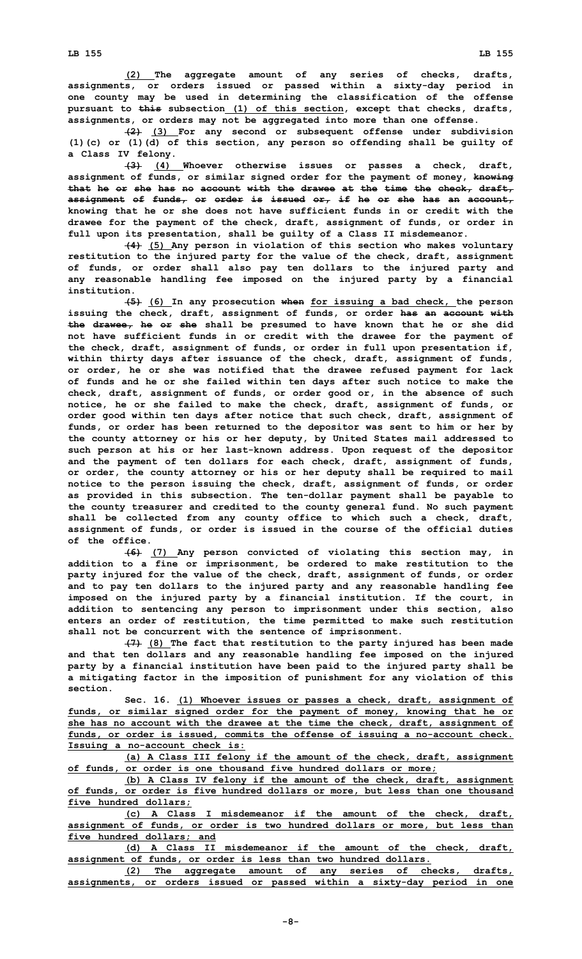**(2) The aggregate amount of any series of checks, drafts, assignments, or orders issued or passed within <sup>a</sup> sixty-day period in one county may be used in determining the classification of the offense pursuant to this subsection (1) of this section, except that checks, drafts, assignments, or orders may not be aggregated into more than one offense.**

**(2) (3) For any second or subsequent offense under subdivision (1)(c) or (1)(d) of this section, any person so offending shall be guilty of <sup>a</sup> Class IV felony.**

**(3) (4) Whoever otherwise issues or passes <sup>a</sup> check, draft, assignment of funds, or similar signed order for the payment of money, knowing that he or she has no account with the drawee at the time the check, draft, assignment of funds, or order is issued or, if he or she has an account, knowing that he or she does not have sufficient funds in or credit with the drawee for the payment of the check, draft, assignment of funds, or order in full upon its presentation, shall be guilty of <sup>a</sup> Class II misdemeanor.**

**(4) (5) Any person in violation of this section who makes voluntary restitution to the injured party for the value of the check, draft, assignment of funds, or order shall also pay ten dollars to the injured party and any reasonable handling fee imposed on the injured party by <sup>a</sup> financial institution.**

**(5) (6) In any prosecution when for issuing <sup>a</sup> bad check, the person issuing the check, draft, assignment of funds, or order has an account with the drawee, he or she shall be presumed to have known that he or she did not have sufficient funds in or credit with the drawee for the payment of the check, draft, assignment of funds, or order in full upon presentation if, within thirty days after issuance of the check, draft, assignment of funds, or order, he or she was notified that the drawee refused payment for lack of funds and he or she failed within ten days after such notice to make the check, draft, assignment of funds, or order good or, in the absence of such notice, he or she failed to make the check, draft, assignment of funds, or order good within ten days after notice that such check, draft, assignment of funds, or order has been returned to the depositor was sent to him or her by the county attorney or his or her deputy, by United States mail addressed to such person at his or her last-known address. Upon request of the depositor and the payment of ten dollars for each check, draft, assignment of funds, or order, the county attorney or his or her deputy shall be required to mail notice to the person issuing the check, draft, assignment of funds, or order as provided in this subsection. The ten-dollar payment shall be payable to the county treasurer and credited to the county general fund. No such payment shall be collected from any county office to which such <sup>a</sup> check, draft, assignment of funds, or order is issued in the course of the official duties of the office.**

**(6) (7) Any person convicted of violating this section may, in addition to <sup>a</sup> fine or imprisonment, be ordered to make restitution to the party injured for the value of the check, draft, assignment of funds, or order and to pay ten dollars to the injured party and any reasonable handling fee imposed on the injured party by <sup>a</sup> financial institution. If the court, in addition to sentencing any person to imprisonment under this section, also enters an order of restitution, the time permitted to make such restitution shall not be concurrent with the sentence of imprisonment.**

**(7) (8) The fact that restitution to the party injured has been made and that ten dollars and any reasonable handling fee imposed on the injured party by <sup>a</sup> financial institution have been paid to the injured party shall be <sup>a</sup> mitigating factor in the imposition of punishment for any violation of this section.**

**Sec. 16. (1) Whoever issues or passes <sup>a</sup> check, draft, assignment of funds, or similar signed order for the payment of money, knowing that he or she has no account with the drawee at the time the check, draft, assignment of funds, or order is issued, commits the offense of issuing <sup>a</sup> no-account check. Issuing <sup>a</sup> no-account check is:**

**(a) <sup>A</sup> Class III felony if the amount of the check, draft, assignment of funds, or order is one thousand five hundred dollars or more;**

**(b) <sup>A</sup> Class IV felony if the amount of the check, draft, assignment of funds, or order is five hundred dollars or more, but less than one thousand five hundred dollars;**

**(c) A Class I misdemeanor if the amount of the check, draft, assignment of funds, or order is two hundred dollars or more, but less than five hundred dollars; and**

**(d) A Class II misdemeanor if the amount of the check, draft, assignment of funds, or order is less than two hundred dollars.**

**(2) The aggregate amount of any series of checks, drafts, assignments, or orders issued or passed within <sup>a</sup> sixty-day period in one**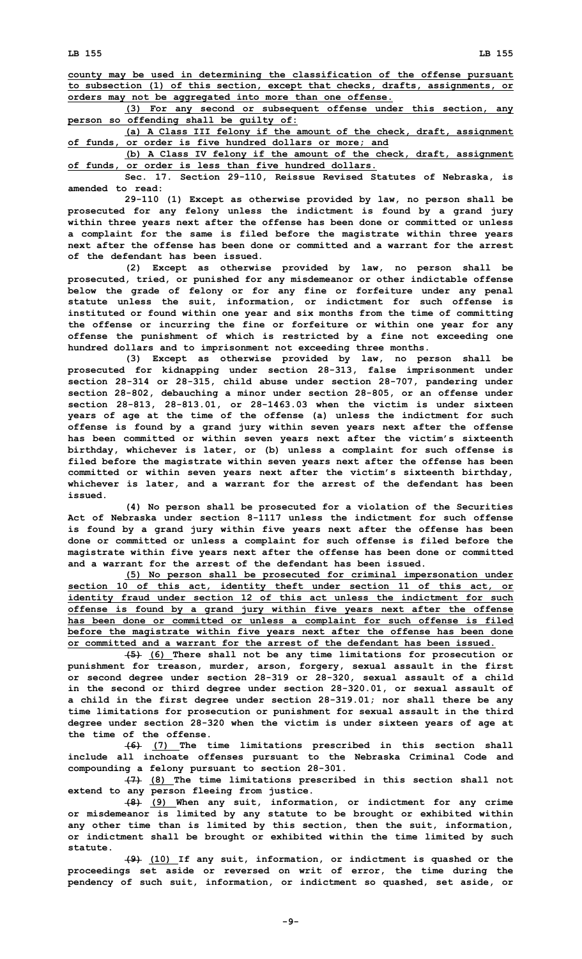**county may be used in determining the classification of the offense pursuant to subsection (1) of this section, except that checks, drafts, assignments, or orders may not be aggregated into more than one offense.**

**(3) For any second or subsequent offense under this section, any person so offending shall be guilty of:**

**(a) <sup>A</sup> Class III felony if the amount of the check, draft, assignment of funds, or order is five hundred dollars or more; and**

**(b) <sup>A</sup> Class IV felony if the amount of the check, draft, assignment of funds, or order is less than five hundred dollars.**

**Sec. 17. Section 29-110, Reissue Revised Statutes of Nebraska, is amended to read:**

**29-110 (1) Except as otherwise provided by law, no person shall be prosecuted for any felony unless the indictment is found by <sup>a</sup> grand jury within three years next after the offense has been done or committed or unless <sup>a</sup> complaint for the same is filed before the magistrate within three years next after the offense has been done or committed and a warrant for the arrest of the defendant has been issued.**

**(2) Except as otherwise provided by law, no person shall be prosecuted, tried, or punished for any misdemeanor or other indictable offense below the grade of felony or for any fine or forfeiture under any penal statute unless the suit, information, or indictment for such offense is instituted or found within one year and six months from the time of committing the offense or incurring the fine or forfeiture or within one year for any offense the punishment of which is restricted by <sup>a</sup> fine not exceeding one hundred dollars and to imprisonment not exceeding three months.**

**(3) Except as otherwise provided by law, no person shall be prosecuted for kidnapping under section 28-313, false imprisonment under section 28-314 or 28-315, child abuse under section 28-707, pandering under section 28-802, debauching <sup>a</sup> minor under section 28-805, or an offense under section 28-813, 28-813.01, or 28-1463.03 when the victim is under sixteen years of age at the time of the offense (a) unless the indictment for such offense is found by <sup>a</sup> grand jury within seven years next after the offense has been committed or within seven years next after the victim's sixteenth birthday, whichever is later, or (b) unless <sup>a</sup> complaint for such offense is filed before the magistrate within seven years next after the offense has been committed or within seven years next after the victim's sixteenth birthday, whichever is later, and <sup>a</sup> warrant for the arrest of the defendant has been issued.**

**(4) No person shall be prosecuted for <sup>a</sup> violation of the Securities Act of Nebraska under section 8-1117 unless the indictment for such offense is found by <sup>a</sup> grand jury within five years next after the offense has been done or committed or unless <sup>a</sup> complaint for such offense is filed before the magistrate within five years next after the offense has been done or committed and a warrant for the arrest of the defendant has been issued.**

**(5) No person shall be prosecuted for criminal impersonation under section 10 of this act, identity theft under section 11 of this act, or identity fraud under section 12 of this act unless the indictment for such offense is found by <sup>a</sup> grand jury within five years next after the offense has been done or committed or unless <sup>a</sup> complaint for such offense is filed before the magistrate within five years next after the offense has been done or committed and a warrant for the arrest of the defendant has been issued.**

**(5) (6) There shall not be any time limitations for prosecution or punishment for treason, murder, arson, forgery, sexual assault in the first or second degree under section 28-319 or 28-320, sexual assault of <sup>a</sup> child in the second or third degree under section 28-320.01, or sexual assault of <sup>a</sup> child in the first degree under section 28-319.01; nor shall there be any time limitations for prosecution or punishment for sexual assault in the third degree under section 28-320 when the victim is under sixteen years of age at the time of the offense.**

**(6) (7) The time limitations prescribed in this section shall include all inchoate offenses pursuant to the Nebraska Criminal Code and compounding <sup>a</sup> felony pursuant to section 28-301.**

**(7) (8) The time limitations prescribed in this section shall not extend to any person fleeing from justice.**

**(8) (9) When any suit, information, or indictment for any crime or misdemeanor is limited by any statute to be brought or exhibited within any other time than is limited by this section, then the suit, information, or indictment shall be brought or exhibited within the time limited by such statute.**

**(9) (10) If any suit, information, or indictment is quashed or the proceedings set aside or reversed on writ of error, the time during the pendency of such suit, information, or indictment so quashed, set aside, or**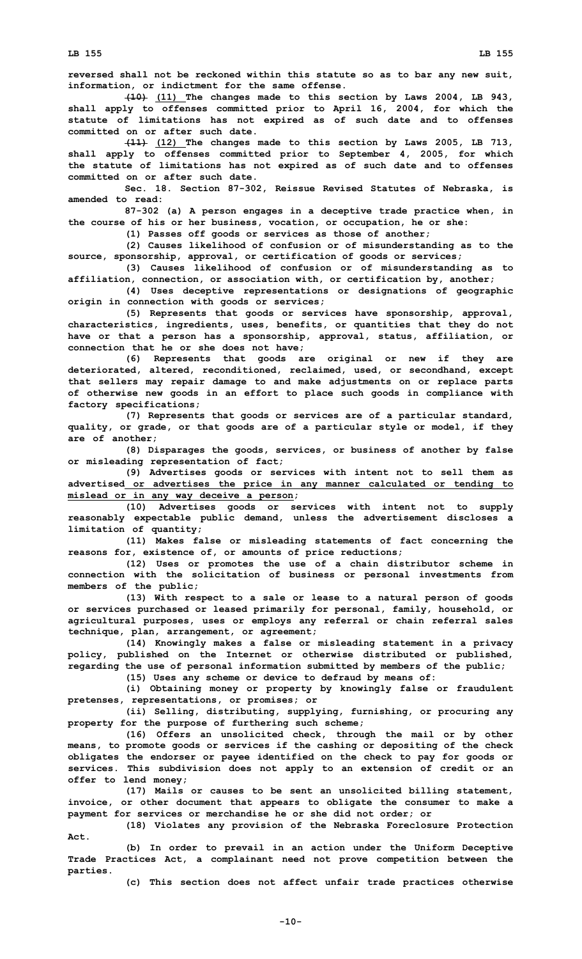**reversed shall not be reckoned within this statute so as to bar any new suit, information, or indictment for the same offense.**

**(10) (11) The changes made to this section by Laws 2004, LB 943, shall apply to offenses committed prior to April 16, 2004, for which the statute of limitations has not expired as of such date and to offenses committed on or after such date.**

**(11) (12) The changes made to this section by Laws 2005, LB 713, shall apply to offenses committed prior to September 4, 2005, for which the statute of limitations has not expired as of such date and to offenses committed on or after such date.**

**Sec. 18. Section 87-302, Reissue Revised Statutes of Nebraska, is amended to read:**

**87-302 (a) <sup>A</sup> person engages in <sup>a</sup> deceptive trade practice when, in the course of his or her business, vocation, or occupation, he or she:**

**(1) Passes off goods or services as those of another;**

**(2) Causes likelihood of confusion or of misunderstanding as to the source, sponsorship, approval, or certification of goods or services;**

**(3) Causes likelihood of confusion or of misunderstanding as to affiliation, connection, or association with, or certification by, another;**

**(4) Uses deceptive representations or designations of geographic origin in connection with goods or services;**

**(5) Represents that goods or services have sponsorship, approval, characteristics, ingredients, uses, benefits, or quantities that they do not have or that <sup>a</sup> person has <sup>a</sup> sponsorship, approval, status, affiliation, or connection that he or she does not have;**

**(6) Represents that goods are original or new if they are deteriorated, altered, reconditioned, reclaimed, used, or secondhand, except that sellers may repair damage to and make adjustments on or replace parts of otherwise new goods in an effort to place such goods in compliance with factory specifications;**

**(7) Represents that goods or services are of <sup>a</sup> particular standard, quality, or grade, or that goods are of <sup>a</sup> particular style or model, if they are of another;**

**(8) Disparages the goods, services, or business of another by false or misleading representation of fact;**

**(9) Advertises goods or services with intent not to sell them as advertised or advertises the price in any manner calculated or tending to mislead or in any way deceive <sup>a</sup> person;**

**(10) Advertises goods or services with intent not to supply reasonably expectable public demand, unless the advertisement discloses <sup>a</sup> limitation of quantity;**

**(11) Makes false or misleading statements of fact concerning the reasons for, existence of, or amounts of price reductions;**

**(12) Uses or promotes the use of <sup>a</sup> chain distributor scheme in connection with the solicitation of business or personal investments from members of the public;**

**(13) With respect to <sup>a</sup> sale or lease to <sup>a</sup> natural person of goods or services purchased or leased primarily for personal, family, household, or agricultural purposes, uses or employs any referral or chain referral sales technique, plan, arrangement, or agreement;**

**(14) Knowingly makes <sup>a</sup> false or misleading statement in <sup>a</sup> privacy policy, published on the Internet or otherwise distributed or published, regarding the use of personal information submitted by members of the public;**

**(15) Uses any scheme or device to defraud by means of:**

**(i) Obtaining money or property by knowingly false or fraudulent pretenses, representations, or promises; or**

**(ii) Selling, distributing, supplying, furnishing, or procuring any property for the purpose of furthering such scheme;**

**(16) Offers an unsolicited check, through the mail or by other means, to promote goods or services if the cashing or depositing of the check obligates the endorser or payee identified on the check to pay for goods or services. This subdivision does not apply to an extension of credit or an offer to lend money;**

**(17) Mails or causes to be sent an unsolicited billing statement, invoice, or other document that appears to obligate the consumer to make <sup>a</sup> payment for services or merchandise he or she did not order; or**

**(18) Violates any provision of the Nebraska Foreclosure Protection Act.**

**(b) In order to prevail in an action under the Uniform Deceptive Trade Practices Act, <sup>a</sup> complainant need not prove competition between the parties.**

**(c) This section does not affect unfair trade practices otherwise**